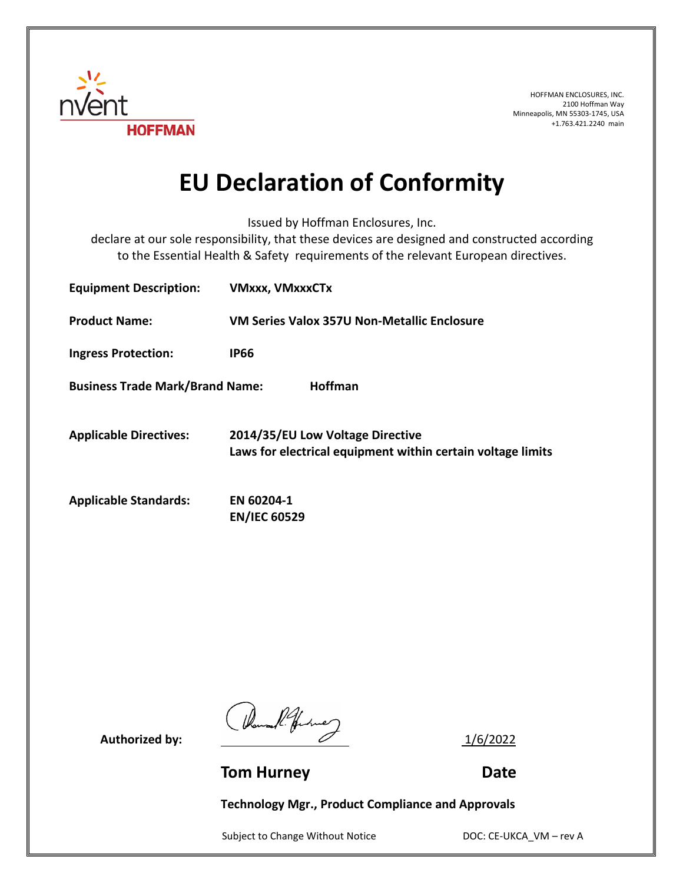

HOFFMAN ENCLOSURES, INC. 2100 Hoffman Way Minneapolis, MN 55303-1745, USA +1.763.421.2240 main

## **EU Declaration of Conformity**

Issued by Hoffman Enclosures, Inc.

declare at our sole responsibility, that these devices are designed and constructed according to the Essential Health & Safety requirements of the relevant European directives.

| <b>Equipment Description:</b>          | <b>VMxxx, VMxxxCTx</b>                                                                          |
|----------------------------------------|-------------------------------------------------------------------------------------------------|
| <b>Product Name:</b>                   | VM Series Valox 357U Non-Metallic Enclosure                                                     |
| <b>Ingress Protection:</b>             | <b>IP66</b>                                                                                     |
| <b>Business Trade Mark/Brand Name:</b> | <b>Hoffman</b>                                                                                  |
| <b>Applicable Directives:</b>          | 2014/35/EU Low Voltage Directive<br>Laws for electrical equipment within certain voltage limits |
| <b>Applicable Standards:</b>           | EN 60204-1<br><b>EN/IEC 60529</b>                                                               |

Authorized by:  $\frac{1}{6/2022}$ 

**Tom Hurney Communication Communication Communication Communication Communication Communication Communication Communication Communication Communication Communication Communication Communication Communication Communication** 

**Technology Mgr., Product Compliance and Approvals**

Subject to Change Without Notice DOC: CE-UKCA\_VM – rev A